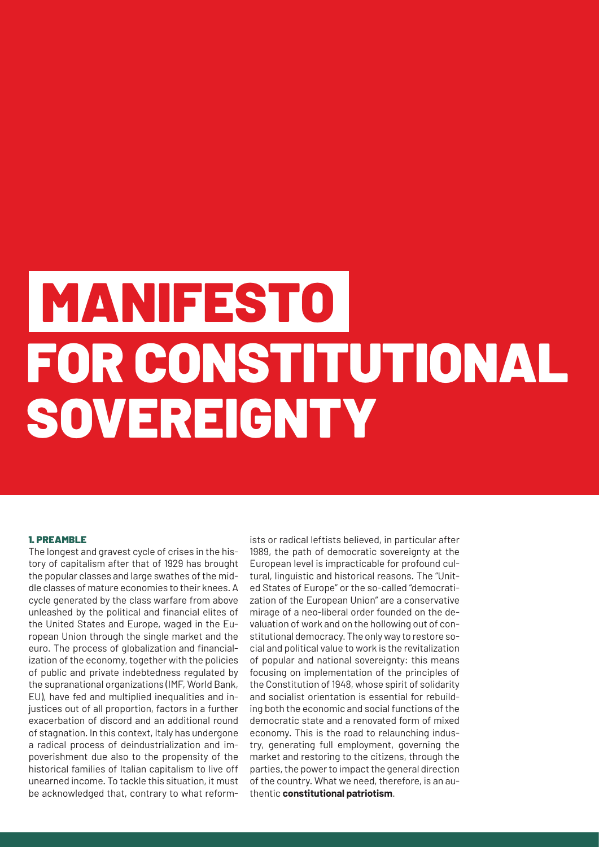# MANIFESTO FOR CONSTITUTIONAL SOVEREIGNTY

# 1. PREAMBLE

The longest and gravest cycle of crises in the history of capitalism after that of 1929 has brought the popular classes and large swathes of the middle classes of mature economies to their knees. A cycle generated by the class warfare from above unleashed by the political and financial elites of the United States and Europe, waged in the European Union through the single market and the euro. The process of globalization and financialization of the economy, together with the policies of public and private indebtedness regulated by the supranational organizations (IMF, World Bank, EU), have fed and multiplied inequalities and injustices out of all proportion, factors in a further exacerbation of discord and an additional round of stagnation. In this context, Italy has undergone a radical process of deindustrialization and impoverishment due also to the propensity of the historical families of Italian capitalism to live off unearned income. To tackle this situation, it must be acknowledged that, contrary to what reform-

ists or radical leftists believed, in particular after 1989, the path of democratic sovereignty at the European level is impracticable for profound cultural, linguistic and historical reasons. The "United States of Europe" or the so-called "democratization of the European Union" are a conservative mirage of a neo-liberal order founded on the devaluation of work and on the hollowing out of constitutional democracy. The only way to restore social and political value to work is the revitalization of popular and national sovereignty: this means focusing on implementation of the principles of the Constitution of 1948, whose spirit of solidarity and socialist orientation is essential for rebuilding both the economic and social functions of the democratic state and a renovated form of mixed economy. This is the road to relaunching industry, generating full employment, governing the market and restoring to the citizens, through the parties, the power to impact the general direction of the country. What we need, therefore, is an authentic **constitutional patriotism**.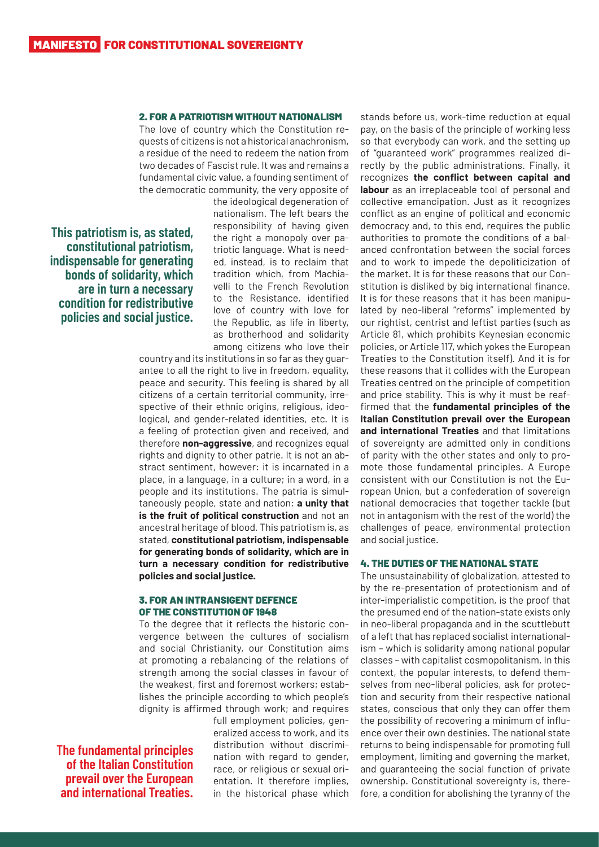# 2. FOR A PATRIOTISM WITHOUT NATIONALISM

The love of country which the Constitution requests of citizens is not a historical anachronism, a residue of the need to redeem the nation from two decades of Fascist rule. It was and remains a fundamental civic value, a founding sentiment of the democratic community, the very opposite of

**This patriotism is, as stated, constitutional patriotism, indispensable for generating bonds of solidarity, which are in turn a necessary condition for redistributive policies and social justice.**

the ideological degeneration of nationalism. The left bears the responsibility of having given the right a monopoly over patriotic language. What is needed, instead, is to reclaim that tradition which, from Machiavelli to the French Revolution to the Resistance, identified love of country with love for the Republic, as life in liberty, as brotherhood and solidarity among citizens who love their

country and its institutions in so far as they guarantee to all the right to live in freedom, equality, peace and security. This feeling is shared by all citizens of a certain territorial community, irrespective of their ethnic origins, religious, ideological, and gender-related identities, etc. It is a feeling of protection given and received, and therefore **non-aggressive**, and recognizes equal rights and dignity to other patrie. It is not an abstract sentiment, however: it is incarnated in a place, in a language, in a culture; in a word, in a people and its institutions. The patria is simultaneously people, state and nation: **a unity that is the fruit of political construction** and not an ancestral heritage of blood. This patriotism is, as stated, **constitutional patriotism, indispensable for generating bonds of solidarity, which are in turn a necessary condition for redistributive policies and social justice.**

# 3. FOR AN INTRANSIGENT DEFENCE OF THE CONSTITUTION OF 1948

To the degree that it reflects the historic convergence between the cultures of socialism and social Christianity, our Constitution aims at promoting a rebalancing of the relations of strength among the social classes in favour of the weakest, first and foremost workers; establishes the principle according to which people's dignity is affirmed through work; and requires

**The fundamental principles of the Italian Constitution prevail over the European and international Treaties.**

full employment policies, generalized access to work, and its distribution without discrimination with regard to gender. race, or religious or sexual orientation. It therefore implies, in the historical phase which

stands before us, work-time reduction at equal pay, on the basis of the principle of working less so that everybody can work, and the setting up of "guaranteed work" programmes realized directly by the public administrations. Finally, it recognizes **the conflict between capital and labour** as an irreplaceable tool of personal and collective emancipation. Just as it recognizes conflict as an engine of political and economic democracy and, to this end, requires the public authorities to promote the conditions of a balanced confrontation between the social forces and to work to impede the depoliticization of the market. It is for these reasons that our Constitution is disliked by big international finance. It is for these reasons that it has been manipulated by neo-liberal "reforms" implemented by our rightist, centrist and leftist parties (such as Article 81, which prohibits Keynesian economic policies, or Article 117, which yokes the European Treaties to the Constitution itself). And it is for these reasons that it collides with the European Treaties centred on the principle of competition and price stability. This is why it must be reaffirmed that the **fundamental principles of the Italian Constitution prevail over the European and international Treaties** and that limitations of sovereignty are admitted only in conditions of parity with the other states and only to promote those fundamental principles. A Europe consistent with our Constitution is not the European Union, but a confederation of sovereign national democracies that together tackle (but not in antagonism with the rest of the world) the challenges of peace, environmental protection and social justice.

### 4. THE DUTIES OF THE NATIONAL STATE

The unsustainability of globalization, attested to by the re-presentation of protectionism and of inter-imperialistic competition, is the proof that the presumed end of the nation-state exists only in neo-liberal propaganda and in the scuttlebutt of a left that has replaced socialist internationalism – which is solidarity among national popular classes – with capitalist cosmopolitanism. In this context, the popular interests, to defend themselves from neo-liberal policies, ask for protection and security from their respective national states, conscious that only they can offer them the possibility of recovering a minimum of influence over their own destinies. The national state returns to being indispensable for promoting full employment, limiting and governing the market, and guaranteeing the social function of private ownership. Constitutional sovereignty is, therefore, a condition for abolishing the tyranny of the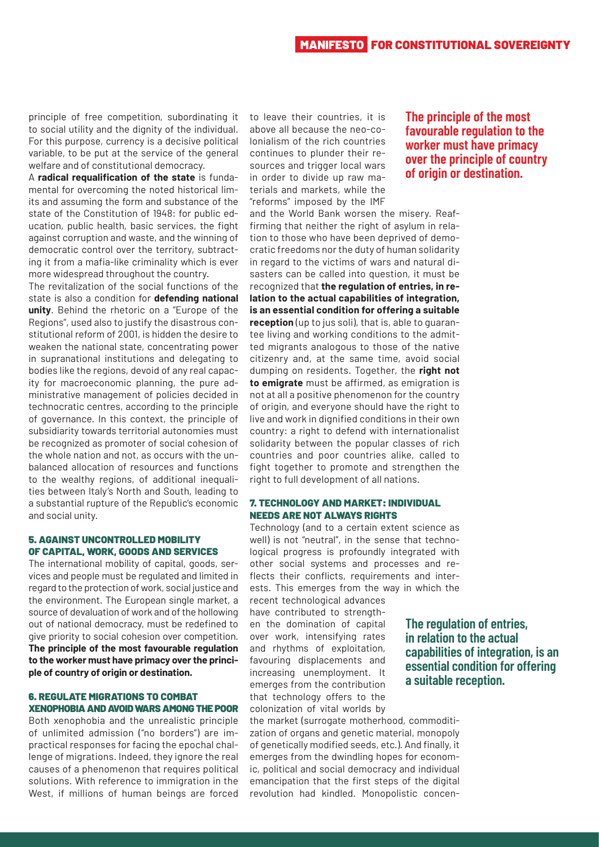**The principle of the most favourable regulation to the worker must have primacy over the principle of country of origin or destination.**

principle of free competition, subordinating it to social utility and the dignity of the individual. For this purpose, currency is a decisive political variable, to be put at the service of the general welfare and of constitutional democracy.

A **radical requalification of the state** is fundamental for overcoming the noted historical limits and assuming the form and substance of the state of the Constitution of 1948: for public education, public health, basic services, the fight against corruption and waste, and the winning of democratic control over the territory, subtracting it from a mafia-like criminality which is ever more widespread throughout the country.

The revitalization of the social functions of the state is also a condition for **defending national unity**. Behind the rhetoric on a "Europe of the Regions", used also to justify the disastrous constitutional reform of 2001, is hidden the desire to weaken the national state, concentrating power in supranational institutions and delegating to bodies like the regions, devoid of any real capacity for macroeconomic planning, the pure administrative management of policies decided in technocratic centres, according to the principle of governance. In this context, the principle of subsidiarity towards territorial autonomies must be recognized as promoter of social cohesion of the whole nation and not, as occurs with the unbalanced allocation of resources and functions to the wealthy regions, of additional inequalities between Italy's North and South, leading to a substantial rupture of the Republic's economic and social unity.

# 5. AGAINST UNCONTROLLED MOBILITY OF CAPITAL, WORK, GOODS AND SERVICES

The international mobility of capital, goods, services and people must be regulated and limited in regard to the protection of work, social justice and the environment. The European single market, a source of devaluation of work and of the hollowing out of national democracy, must be redefined to give priority to social cohesion over competition. **The principle of the most favourable regulation to the worker must have primacy over the principle of country of origin or destination.**

# 6. REGULATE MIGRATIONS TO COMBAT XENOPHOBIA AND AVOID WARS AMONG THE POOR

Both xenophobia and the unrealistic principle of unlimited admission ("no borders") are impractical responses for facing the epochal challenge of migrations. Indeed, they ignore the real causes of a phenomenon that requires political solutions. With reference to immigration in the West, if millions of human beings are forced

to leave their countries, it is above all because the neo-colonialism of the rich countries continues to plunder their resources and trigger local wars in order to divide up raw materials and markets, while the "reforms" imposed by the IMF

and the World Bank worsen the misery. Reaffirming that neither the right of asylum in relation to those who have been deprived of democratic freedoms nor the duty of human solidarity in regard to the victims of wars and natural disasters can be called into question, it must be recognized that **the regulation of entries, in relation to the actual capabilities of integration, is an essential condition for offering a suitable reception** (up to jus soli), that is, able to guarantee living and working conditions to the admitted migrants analogous to those of the native citizenry and, at the same time, avoid social dumping on residents. Together, the **right not to emigrate** must be affirmed, as emigration is not at all a positive phenomenon for the country of origin, and everyone should have the right to live and work in dignified conditions in their own country: a right to defend with internationalist solidarity between the popular classes of rich countries and poor countries alike, called to fight together to promote and strengthen the right to full development of all nations.

# 7. TECHNOLOGY AND MARKET: INDIVIDUAL NEEDS ARE NOT ALWAYS RIGHTS

Technology (and to a certain extent science as well) is not "neutral", in the sense that technological progress is profoundly integrated with other social systems and processes and reflects their conflicts, requirements and interests. This emerges from the way in which the recent technological advances

have contributed to strengthen the domination of capital over work, intensifying rates and rhythms of exploitation, favouring displacements and increasing unemployment. It emerges from the contribution that technology offers to the colonization of vital worlds by

**The regulation of entries, in relation to the actual capabilities of integration, is an essential condition for offering a suitable reception.**

the market (surrogate motherhood, commoditization of organs and genetic material, monopoly of genetically modified seeds, etc.). And finally, it emerges from the dwindling hopes for economic, political and social democracy and individual emancipation that the first steps of the digital revolution had kindled. Monopolistic concen-